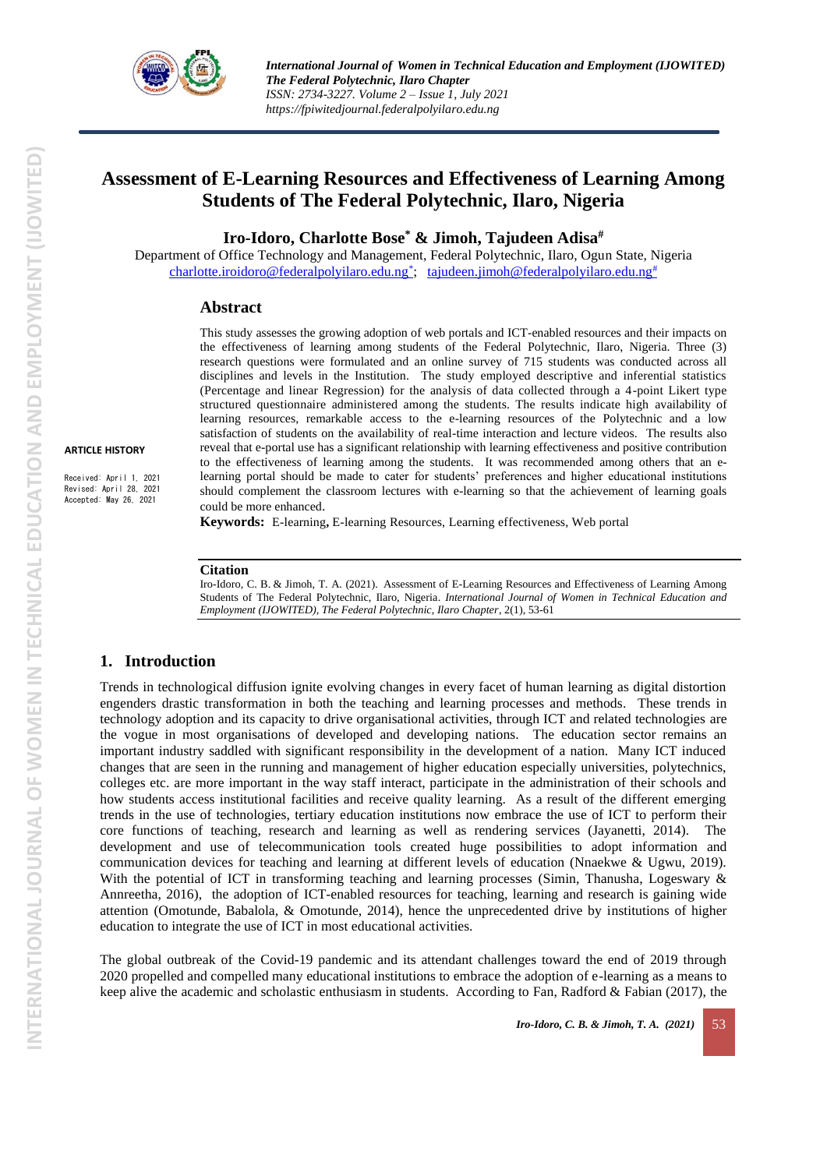

# **Assessment of E-Learning Resources and Effectiveness of Learning Among Students of The Federal Polytechnic, Ilaro, Nigeria**

**Iro-Idoro, Charlotte Bose\* & Jimoh, Tajudeen Adisa#**

Department of Office Technology and Management, Federal Polytechnic, Ilaro, Ogun State, Nigeria [charlotte.iroidoro@federalpolyilaro.edu.ng](mailto:charlotte.iroidoro@federalpolyilaro.edu.ng*)<sup>\*</sup>; [tajudeen.jimoh@federalpolyilaro.edu.ng](mailto:tajudeen.jimoh@federalpolyilaro.edu.ng#)<sup>#</sup>

#### **Abstract**

This study assesses the growing adoption of web portals and ICT-enabled resources and their impacts on the effectiveness of learning among students of the Federal Polytechnic, Ilaro, Nigeria. Three (3) research questions were formulated and an online survey of 715 students was conducted across all disciplines and levels in the Institution. The study employed descriptive and inferential statistics (Percentage and linear Regression) for the analysis of data collected through a 4-point Likert type structured questionnaire administered among the students. The results indicate high availability of learning resources, remarkable access to the e-learning resources of the Polytechnic and a low satisfaction of students on the availability of real-time interaction and lecture videos. The results also reveal that e-portal use has a significant relationship with learning effectiveness and positive contribution to the effectiveness of learning among the students. It was recommended among others that an elearning portal should be made to cater for students' preferences and higher educational institutions should complement the classroom lectures with e-learning so that the achievement of learning goals could be more enhanced.

Received: April 1, 2021 Revised: April 28, 2021 Accepted: May 26, 2021

**Keywords:** E-learning**,** E-learning Resources, Learning effectiveness, Web portal

#### **Citation**

Iro-Idoro, C. B. & Jimoh, T. A. (2021). Assessment of E-Learning Resources and Effectiveness of Learning Among Students of The Federal Polytechnic, Ilaro, Nigeria. *International Journal of Women in Technical Education and Employment (IJOWITED), The Federal Polytechnic, Ilaro Chapter*, 2(1), 53-61

#### **1. Introduction**

Trends in technological diffusion ignite evolving changes in every facet of human learning as digital distortion engenders drastic transformation in both the teaching and learning processes and methods. These trends in technology adoption and its capacity to drive organisational activities, through ICT and related technologies are the vogue in most organisations of developed and developing nations. The education sector remains an important industry saddled with significant responsibility in the development of a nation. Many ICT induced changes that are seen in the running and management of higher education especially universities, polytechnics, colleges etc. are more important in the way staff interact, participate in the administration of their schools and how students access institutional facilities and receive quality learning. As a result of the different emerging trends in the use of technologies, tertiary education institutions now embrace the use of ICT to perform their core functions of teaching, research and learning as well as rendering services (Jayanetti, 2014). The development and use of telecommunication tools created huge possibilities to adopt information and communication devices for teaching and learning at different levels of education (Nnaekwe & Ugwu, 2019). With the potential of ICT in transforming teaching and learning processes (Simin, Thanusha, Logeswary & Annreetha, 2016), the adoption of ICT-enabled resources for teaching, learning and research is gaining wide attention (Omotunde, Babalola, & Omotunde, 2014), hence the unprecedented drive by institutions of higher education to integrate the use of ICT in most educational activities.

The global outbreak of the Covid-19 pandemic and its attendant challenges toward the end of 2019 through 2020 propelled and compelled many educational institutions to embrace the adoption of e-learning as a means to keep alive the academic and scholastic enthusiasm in students. According to Fan, Radford & Fabian (2017), the

**INTERNATIONAL JOURNAL OF WOMEN IN TECHNICAL EDUCATION AND EMPLOYMENT (IJOWITED)**

INTERNATIONAL JOURNAL OF WOMEN IN TECHNICAL EDUCATION AND EMPLOYMENT (IJOWITED)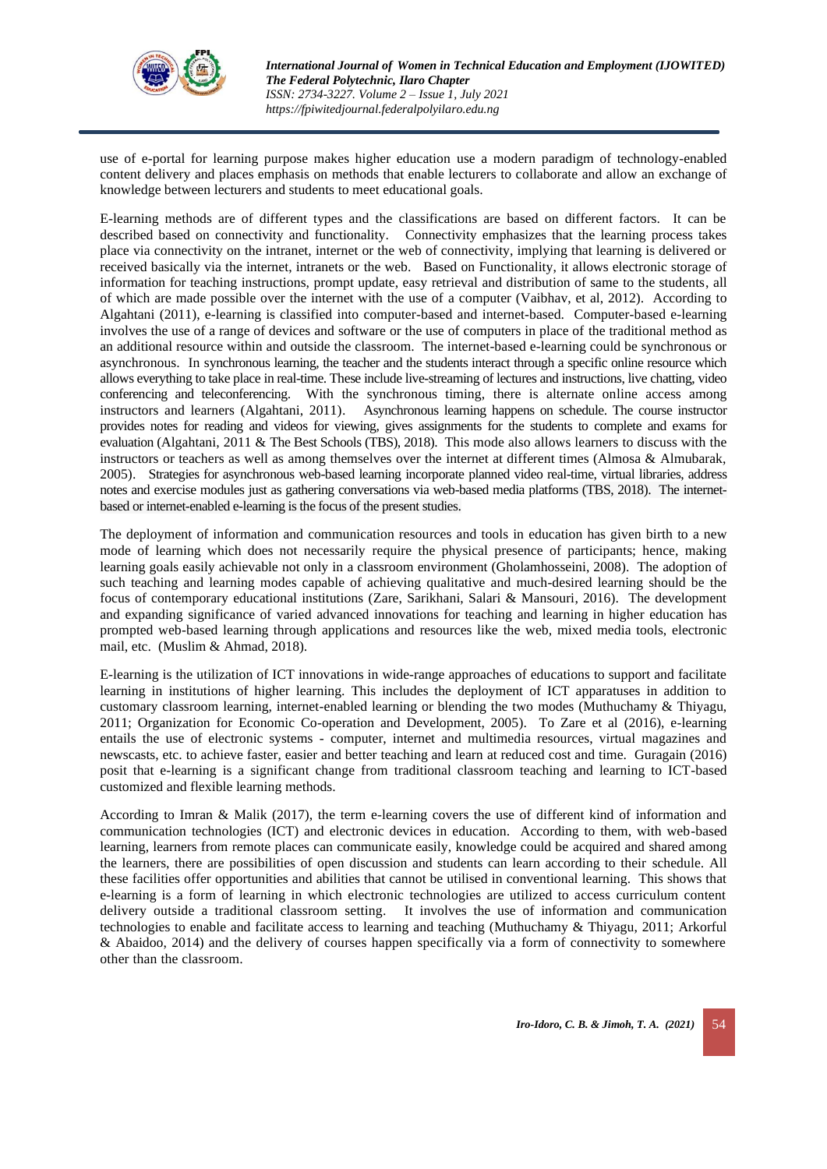

use of e-portal for learning purpose makes higher education use a modern paradigm of technology-enabled content delivery and places emphasis on methods that enable lecturers to collaborate and allow an exchange of knowledge between lecturers and students to meet educational goals.

E-learning methods are of different types and the classifications are based on different factors. It can be described based on connectivity and functionality. Connectivity emphasizes that the learning process takes place via connectivity on the intranet, internet or the web of connectivity, implying that learning is delivered or received basically via the internet, intranets or the web. Based on Functionality, it allows electronic storage of information for teaching instructions, prompt update, easy retrieval and distribution of same to the students, all of which are made possible over the internet with the use of a computer (Vaibhav, et al, 2012). According to Algahtani (2011), e-learning is classified into computer-based and internet-based. Computer-based e-learning involves the use of a range of devices and software or the use of computers in place of the traditional method as an additional resource within and outside the classroom. The internet-based e-learning could be synchronous or asynchronous. In synchronous learning, the teacher and the students interact through a specific online resource which allows everything to take place in real-time. These include live-streaming of lectures and instructions, live chatting, video conferencing and teleconferencing. With the synchronous timing, there is alternate online access among instructors and learners (Algahtani, 2011). Asynchronous learning happens on schedule. The course instructor provides notes for reading and videos for viewing, gives assignments for the students to complete and exams for evaluation (Algahtani, 2011 & The Best Schools (TBS), 2018). This mode also allows learners to discuss with the instructors or teachers as well as among themselves over the internet at different times (Almosa & Almubarak, 2005). Strategies for asynchronous web-based learning incorporate planned video real-time, virtual libraries, address notes and exercise modules just as gathering conversations via web-based media platforms (TBS, 2018). The internetbased or internet-enabled e-learning is the focus of the present studies.

The deployment of information and communication resources and tools in education has given birth to a new mode of learning which does not necessarily require the physical presence of participants; hence, making learning goals easily achievable not only in a classroom environment (Gholamhosseini, 2008). The adoption of such teaching and learning modes capable of achieving qualitative and much-desired learning should be the focus of contemporary educational institutions (Zare, Sarikhani, Salari & Mansouri, 2016). The development and expanding significance of varied advanced innovations for teaching and learning in higher education has prompted web-based learning through applications and resources like the web, mixed media tools, electronic mail, etc. (Muslim & Ahmad, 2018).

E-learning is the utilization of ICT innovations in wide-range approaches of educations to support and facilitate learning in institutions of higher learning. This includes the deployment of ICT apparatuses in addition to customary classroom learning, internet-enabled learning or blending the two modes (Muthuchamy & Thiyagu, 2011; Organization for Economic Co-operation and Development, 2005). To Zare et al (2016), e-learning entails the use of electronic systems - computer, internet and multimedia resources, virtual magazines and newscasts, etc. to achieve faster, easier and better teaching and learn at reduced cost and time. Guragain (2016) posit that e-learning is a significant change from traditional classroom teaching and learning to ICT-based customized and flexible learning methods.

According to Imran & Malik (2017), the term e-learning covers the use of different kind of information and communication technologies (ICT) and electronic devices in education. According to them, with web-based learning, learners from remote places can communicate easily, knowledge could be acquired and shared among the learners, there are possibilities of open discussion and students can learn according to their schedule. All these facilities offer opportunities and abilities that cannot be utilised in conventional learning. This shows that e-learning is a form of learning in which electronic technologies are utilized to access curriculum content delivery outside a traditional classroom setting. It involves the use of information and communication technologies to enable and facilitate access to learning and teaching (Muthuchamy & Thiyagu, 2011; Arkorful & Abaidoo, 2014) and the delivery of courses happen specifically via a form of connectivity to somewhere other than the classroom.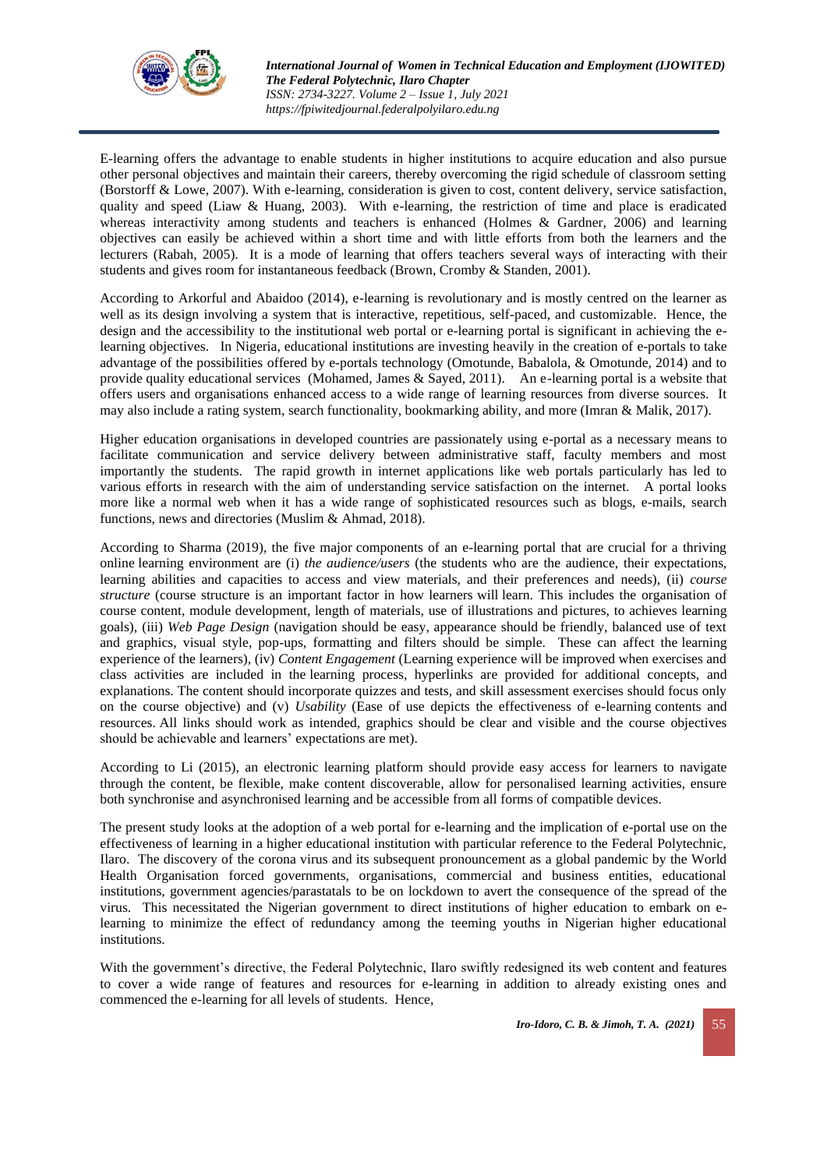

E-learning offers the advantage to enable students in higher institutions to acquire education and also pursue other personal objectives and maintain their careers, thereby overcoming the rigid schedule of classroom setting (Borstorff & Lowe, 2007). With e-learning, consideration is given to cost, content delivery, service satisfaction, quality and speed (Liaw & Huang, 2003). With e-learning, the restriction of time and place is eradicated whereas interactivity among students and teachers is enhanced (Holmes & Gardner, 2006) and learning objectives can easily be achieved within a short time and with little efforts from both the learners and the lecturers (Rabah, 2005). It is a mode of learning that offers teachers several ways of interacting with their students and gives room for instantaneous feedback (Brown, Cromby & Standen, 2001).

According to Arkorful and Abaidoo (2014), e-learning is revolutionary and is mostly centred on the learner as well as its design involving a system that is interactive, repetitious, self-paced, and customizable. Hence, the design and the accessibility to the institutional web portal or e-learning portal is significant in achieving the elearning objectives. In Nigeria, educational institutions are investing heavily in the creation of e-portals to take advantage of the possibilities offered by e-portals technology (Omotunde, Babalola, & Omotunde, 2014) and to provide quality educational services (Mohamed, James & Sayed, 2011). An e-learning portal is a website that offers users and organisations enhanced access to a wide range of learning resources from diverse sources. It may also include a rating system, search functionality, bookmarking ability, and more (Imran & Malik, 2017).

Higher education organisations in developed countries are passionately using e-portal as a necessary means to facilitate communication and service delivery between administrative staff, faculty members and most importantly the students. The rapid growth in internet applications like web portals particularly has led to various efforts in research with the aim of understanding service satisfaction on the internet. A portal looks more like a normal web when it has a wide range of sophisticated resources such as blogs, e-mails, search functions, news and directories (Muslim & Ahmad, 2018).

According to Sharma (2019), the five major components of an e-learning portal that are crucial for a thriving online learning environment are (i) *the audience/users* (the students who are the audience, their expectations, learning abilities and capacities to access and view materials, and their preferences and needs), (ii) *course structure* (course structure is an important factor in how learners will learn. This includes the organisation of course content, module development, length of materials, use of illustrations and pictures, to achieves learning goals), (iii) *Web Page Design* (navigation should be easy, appearance should be friendly, balanced use of text and graphics, visual style, pop-ups, formatting and filters should be simple. These can affect the learning experience of the learners), (iv) *Content Engagement* (Learning experience will be improved when exercises and class activities are included in the learning process, hyperlinks are provided for additional concepts, and explanations. The content should incorporate quizzes and tests, and skill assessment exercises should focus only on the course objective) and (v) *Usability* (Ease of use depicts the effectiveness of e-learning contents and resources. All links should work as intended, graphics should be clear and visible and the course objectives should be achievable and learners' expectations are met).

According to Li (2015), an electronic learning platform should provide easy access for learners to navigate through the content, be flexible, make content discoverable, allow for personalised learning activities, ensure both synchronise and asynchronised learning and be accessible from all forms of compatible devices.

The present study looks at the adoption of a web portal for e-learning and the implication of e-portal use on the effectiveness of learning in a higher educational institution with particular reference to the Federal Polytechnic, Ilaro. The discovery of the corona virus and its subsequent pronouncement as a global pandemic by the World Health Organisation forced governments, organisations, commercial and business entities, educational institutions, government agencies/parastatals to be on lockdown to avert the consequence of the spread of the virus. This necessitated the Nigerian government to direct institutions of higher education to embark on elearning to minimize the effect of redundancy among the teeming youths in Nigerian higher educational institutions.

With the government's directive, the Federal Polytechnic, Ilaro swiftly redesigned its web content and features to cover a wide range of features and resources for e-learning in addition to already existing ones and commenced the e-learning for all levels of students. Hence,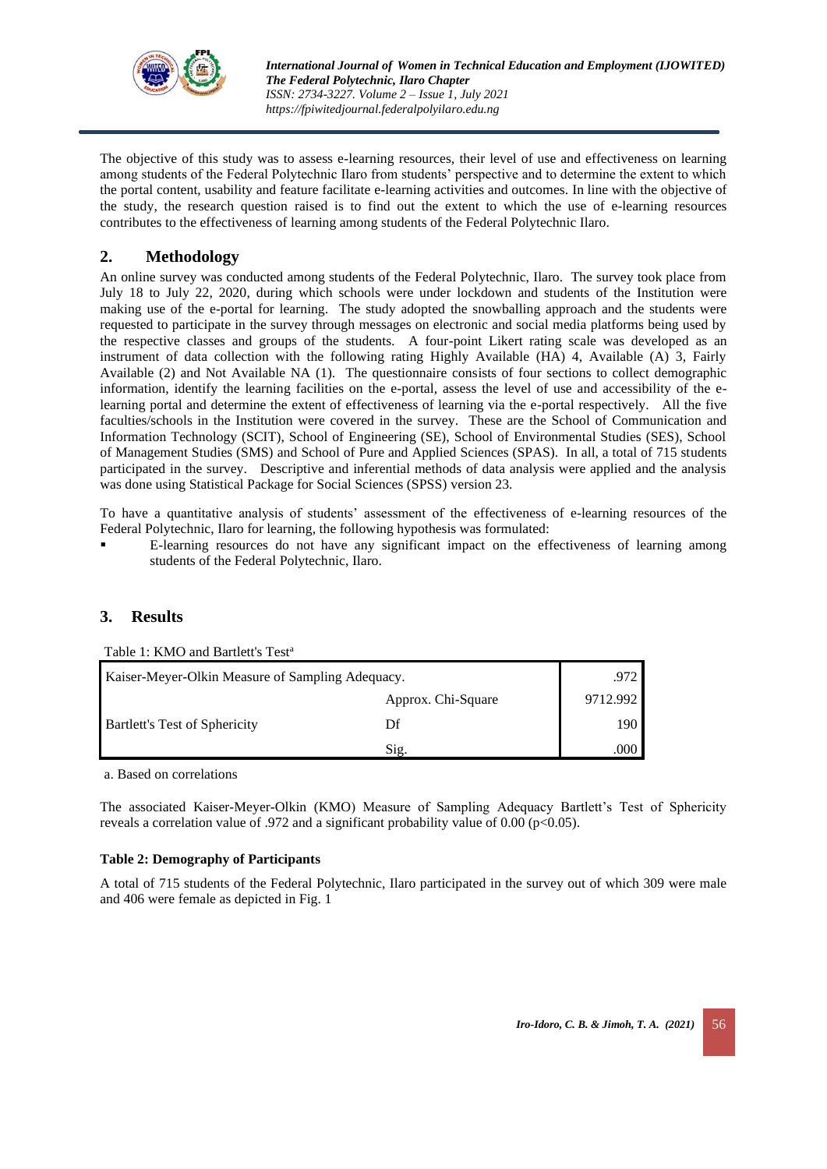

The objective of this study was to assess e-learning resources, their level of use and effectiveness on learning among students of the Federal Polytechnic Ilaro from students' perspective and to determine the extent to which the portal content, usability and feature facilitate e-learning activities and outcomes. In line with the objective of the study, the research question raised is to find out the extent to which the use of e-learning resources contributes to the effectiveness of learning among students of the Federal Polytechnic Ilaro.

# **2. Methodology**

An online survey was conducted among students of the Federal Polytechnic, Ilaro. The survey took place from July 18 to July 22, 2020, during which schools were under lockdown and students of the Institution were making use of the e-portal for learning. The study adopted the snowballing approach and the students were requested to participate in the survey through messages on electronic and social media platforms being used by the respective classes and groups of the students. A four-point Likert rating scale was developed as an instrument of data collection with the following rating Highly Available (HA) 4, Available (A) 3, Fairly Available (2) and Not Available NA (1). The questionnaire consists of four sections to collect demographic information, identify the learning facilities on the e-portal, assess the level of use and accessibility of the elearning portal and determine the extent of effectiveness of learning via the e-portal respectively. All the five faculties/schools in the Institution were covered in the survey. These are the School of Communication and Information Technology (SCIT), School of Engineering (SE), School of Environmental Studies (SES), School of Management Studies (SMS) and School of Pure and Applied Sciences (SPAS). In all, a total of 715 students participated in the survey. Descriptive and inferential methods of data analysis were applied and the analysis was done using Statistical Package for Social Sciences (SPSS) version 23.

To have a quantitative analysis of students' assessment of the effectiveness of e-learning resources of the Federal Polytechnic, Ilaro for learning, the following hypothesis was formulated:

▪ E-learning resources do not have any significant impact on the effectiveness of learning among students of the Federal Polytechnic, Ilaro.

## **3. Results**

| Table 1: KMO and Bartlett's Test <sup>a</sup>    |                    |          |  |  |  |
|--------------------------------------------------|--------------------|----------|--|--|--|
| Kaiser-Meyer-Olkin Measure of Sampling Adequacy. |                    |          |  |  |  |
|                                                  | Approx. Chi-Square | 9712.992 |  |  |  |
| Bartlett's Test of Sphericity                    | Df                 | 190      |  |  |  |
|                                                  | Sig                | .000     |  |  |  |

a. Based on correlations

The associated Kaiser-Meyer-Olkin (KMO) Measure of Sampling Adequacy Bartlett's Test of Sphericity reveals a correlation value of .972 and a significant probability value of 0.00 ( $p<0.05$ ).

### **Table 2: Demography of Participants**

A total of 715 students of the Federal Polytechnic, Ilaro participated in the survey out of which 309 were male and 406 were female as depicted in Fig. 1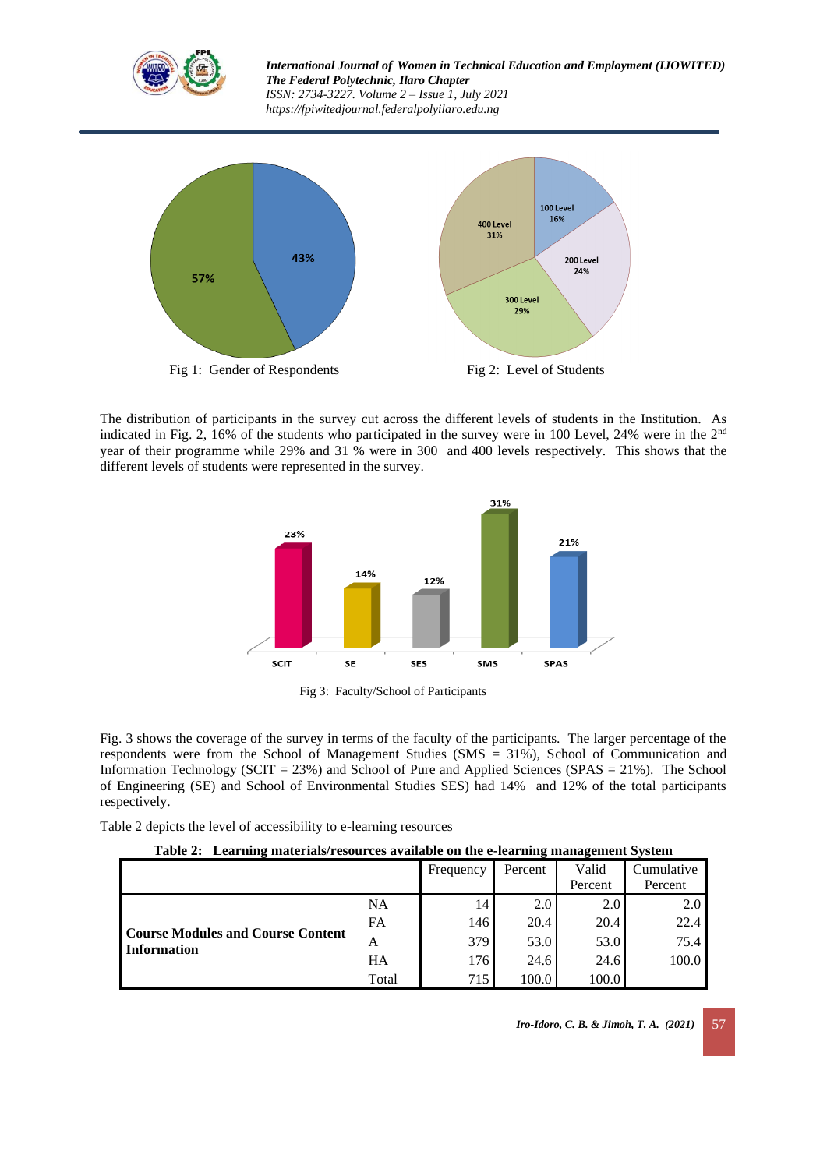



The distribution of participants in the survey cut across the different levels of students in the Institution. As indicated in Fig. 2, 16% of the students who participated in the survey were in 100 Level, 24% were in the 2<sup>nd</sup> year of their programme while 29% and 31 % were in 300 and 400 levels respectively. This shows that the different levels of students were represented in the survey.



Fig 3: Faculty/School of Participants

Fig. 3 shows the coverage of the survey in terms of the faculty of the participants. The larger percentage of the respondents were from the School of Management Studies (SMS = 31%), School of Communication and Information Technology (SCIT = 23%) and School of Pure and Applied Sciences (SPAS = 21%). The School of Engineering (SE) and School of Environmental Studies SES) had 14% and 12% of the total participants respectively.

Table 2 depicts the level of accessibility to e-learning resources

| Table 2: Learning materials/resources available on the e-learning management System |  |  |  |  |  |  |  |
|-------------------------------------------------------------------------------------|--|--|--|--|--|--|--|
|-------------------------------------------------------------------------------------|--|--|--|--|--|--|--|

|                                                                |           | Frequency        | Percent | Valid   | Cumulative |
|----------------------------------------------------------------|-----------|------------------|---------|---------|------------|
|                                                                |           |                  |         | Percent | Percent    |
| <b>Course Modules and Course Content</b><br><b>Information</b> | <b>NA</b> | 14               | 2.0     | 2.0     | 2.0        |
|                                                                | FA        | 146              | 20.4    | 20.4    | 22.4       |
|                                                                | А         | 379              | 53.0    | 53.0    | 75.4       |
|                                                                | HA        | 176              | 24.6    | 24.6    | 100.0      |
|                                                                | Total     | 715 <sub>1</sub> | 100.0   | 100.0   |            |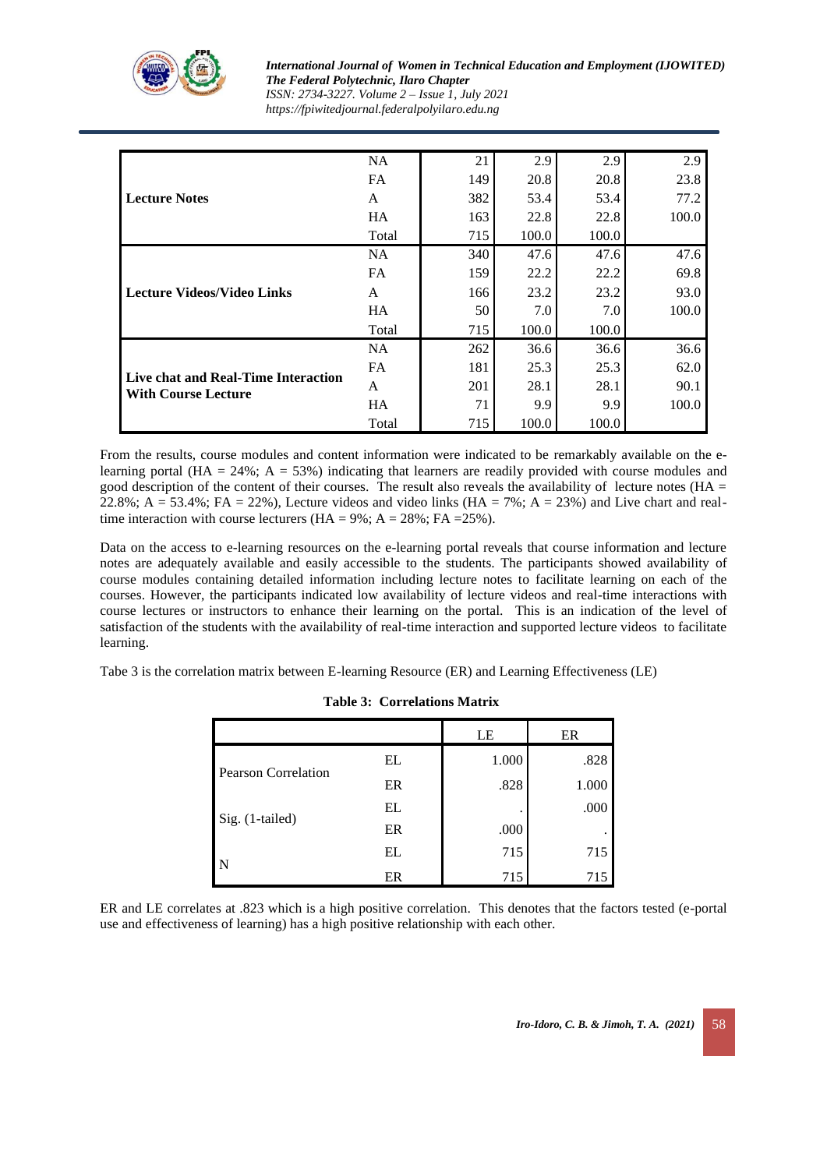

*International Journal of Women in Technical Education and Employment (IJOWITED) The Federal Polytechnic, Ilaro Chapter*

*ISSN: 2734-3227. Volume 2 – Issue 1, July 2021 https://fpiwitedjournal.federalpolyilaro.edu.ng*

| <b>Lecture Notes</b>                                              | <b>NA</b> | 21  | 2.9   | 2.9   | 2.9   |
|-------------------------------------------------------------------|-----------|-----|-------|-------|-------|
|                                                                   | FA        | 149 | 20.8  | 20.8  | 23.8  |
|                                                                   | A         | 382 | 53.4  | 53.4  | 77.2  |
|                                                                   | <b>HA</b> | 163 | 22.8  | 22.8  | 100.0 |
|                                                                   | Total     | 715 | 100.0 | 100.0 |       |
| <b>Lecture Videos/Video Links</b>                                 | NA.       | 340 | 47.6  | 47.6  | 47.6  |
|                                                                   | <b>FA</b> | 159 | 22.2  | 22.2  | 69.8  |
|                                                                   | A         | 166 | 23.2  | 23.2  | 93.0  |
|                                                                   | <b>HA</b> | 50  | 7.0   | 7.0   | 100.0 |
|                                                                   | Total     | 715 | 100.0 | 100.0 |       |
| Live chat and Real-Time Interaction<br><b>With Course Lecture</b> | NA.       | 262 | 36.6  | 36.6  | 36.6  |
|                                                                   | <b>FA</b> | 181 | 25.3  | 25.3  | 62.0  |
|                                                                   | A         | 201 | 28.1  | 28.1  | 90.1  |
|                                                                   | <b>HA</b> | 71  | 9.9   | 9.9   | 100.0 |
|                                                                   | Total     | 715 | 100.0 | 100.0 |       |

From the results, course modules and content information were indicated to be remarkably available on the elearning portal (HA =  $24\%$ ; A =  $53\%$ ) indicating that learners are readily provided with course modules and good description of the content of their courses. The result also reveals the availability of lecture notes ( $HA =$  $22.8\%$ ; A = 53.4%; FA = 22%), Lecture videos and video links (HA = 7%; A = 23%) and Live chart and realtime interaction with course lecturers ( $HA = 9\%$ ;  $A = 28\%$ ;  $FA = 25\%$ ).

Data on the access to e-learning resources on the e-learning portal reveals that course information and lecture notes are adequately available and easily accessible to the students. The participants showed availability of course modules containing detailed information including lecture notes to facilitate learning on each of the courses. However, the participants indicated low availability of lecture videos and real-time interactions with course lectures or instructors to enhance their learning on the portal. This is an indication of the level of satisfaction of the students with the availability of real-time interaction and supported lecture videos to facilitate learning.

Tabe 3 is the correlation matrix between E-learning Resource (ER) and Learning Effectiveness (LE)

|                            |    | LE    | ER    |
|----------------------------|----|-------|-------|
|                            | EL | 1.000 | .828  |
| <b>Pearson Correlation</b> | ER | .828  | 1.000 |
| Sig. (1-tailed)            | EL | ٠     | .000  |
|                            | ER | .000  |       |
| N                          | EL | 715   | 715   |
|                            | ER | 715   | 715   |

### **Table 3: Correlations Matrix**

ER and LE correlates at .823 which is a high positive correlation. This denotes that the factors tested (e-portal use and effectiveness of learning) has a high positive relationship with each other.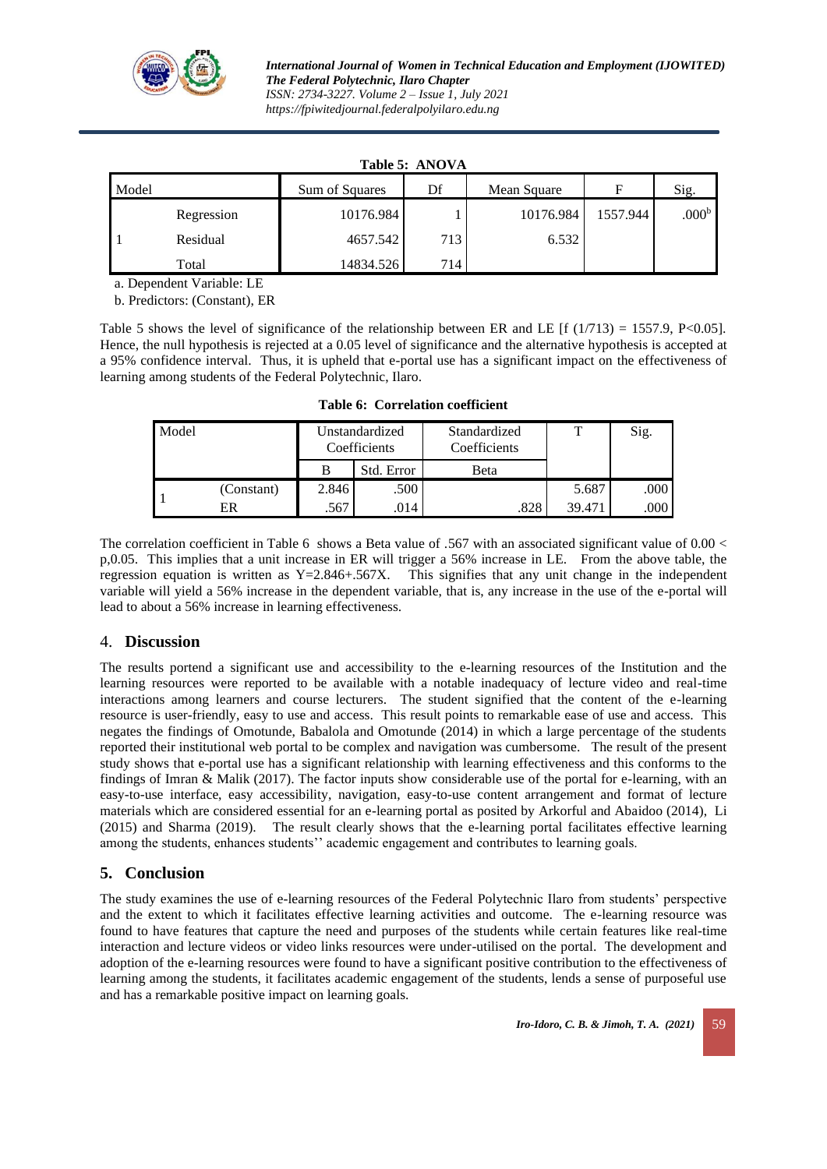

| Table 5: ANOVA |            |                |         |             |          |                   |  |  |  |  |
|----------------|------------|----------------|---------|-------------|----------|-------------------|--|--|--|--|
| Model          |            | Sum of Squares | Df      | Mean Square | F        | Sig.              |  |  |  |  |
|                | Regression | 10176.984      |         | 10176.984   | 1557.944 | .000 <sup>b</sup> |  |  |  |  |
|                | Residual   | 4657.542       | $713_1$ | 6.532       |          |                   |  |  |  |  |
|                | Total      | 14834.526      | 714     |             |          |                   |  |  |  |  |

**Table 5: ANOVA**

a. Dependent Variable: LE

b. Predictors: (Constant), ER

Table 5 shows the level of significance of the relationship between ER and LE  $\left[ \frac{f(1/713)}{2} \right] = 1557.9$ , P<0.05]. Hence, the null hypothesis is rejected at a 0.05 level of significance and the alternative hypothesis is accepted at a 95% confidence interval. Thus, it is upheld that e-portal use has a significant impact on the effectiveness of learning among students of the Federal Polytechnic, Ilaro.

| Model |            |       | Unstandardized<br>Coefficients | Standardized<br>Coefficients | т      | Sig.   |
|-------|------------|-------|--------------------------------|------------------------------|--------|--------|
|       |            |       | Std. Error                     | Beta                         |        |        |
|       | (Constant) | 2.846 | .500                           |                              | 5.687  | ا 000. |
|       | ER         | .567  | 014.                           | .828                         | 39.471 | .000   |

**Table 6: Correlation coefficient**

The correlation coefficient in Table 6 shows a Beta value of .567 with an associated significant value of 0.00 < p,0.05. This implies that a unit increase in ER will trigger a 56% increase in LE. From the above table, the regression equation is written as  $Y=2.846+.567X$ . This signifies that any unit change in the independent variable will yield a 56% increase in the dependent variable, that is, any increase in the use of the e-portal will lead to about a 56% increase in learning effectiveness.

### 4. **Discussion**

The results portend a significant use and accessibility to the e-learning resources of the Institution and the learning resources were reported to be available with a notable inadequacy of lecture video and real-time interactions among learners and course lecturers. The student signified that the content of the e-learning resource is user-friendly, easy to use and access. This result points to remarkable ease of use and access. This negates the findings of Omotunde, Babalola and Omotunde (2014) in which a large percentage of the students reported their institutional web portal to be complex and navigation was cumbersome. The result of the present study shows that e-portal use has a significant relationship with learning effectiveness and this conforms to the findings of Imran & Malik (2017). The factor inputs show considerable use of the portal for e-learning, with an easy-to-use interface, easy accessibility, navigation, easy-to-use content arrangement and format of lecture materials which are considered essential for an e-learning portal as posited by Arkorful and Abaidoo (2014), Li (2015) and Sharma (2019). The result clearly shows that the e-learning portal facilitates effective learning among the students, enhances students'' academic engagement and contributes to learning goals.

## **5. Conclusion**

The study examines the use of e-learning resources of the Federal Polytechnic Ilaro from students' perspective and the extent to which it facilitates effective learning activities and outcome. The e-learning resource was found to have features that capture the need and purposes of the students while certain features like real-time interaction and lecture videos or video links resources were under-utilised on the portal. The development and adoption of the e-learning resources were found to have a significant positive contribution to the effectiveness of learning among the students, it facilitates academic engagement of the students, lends a sense of purposeful use and has a remarkable positive impact on learning goals.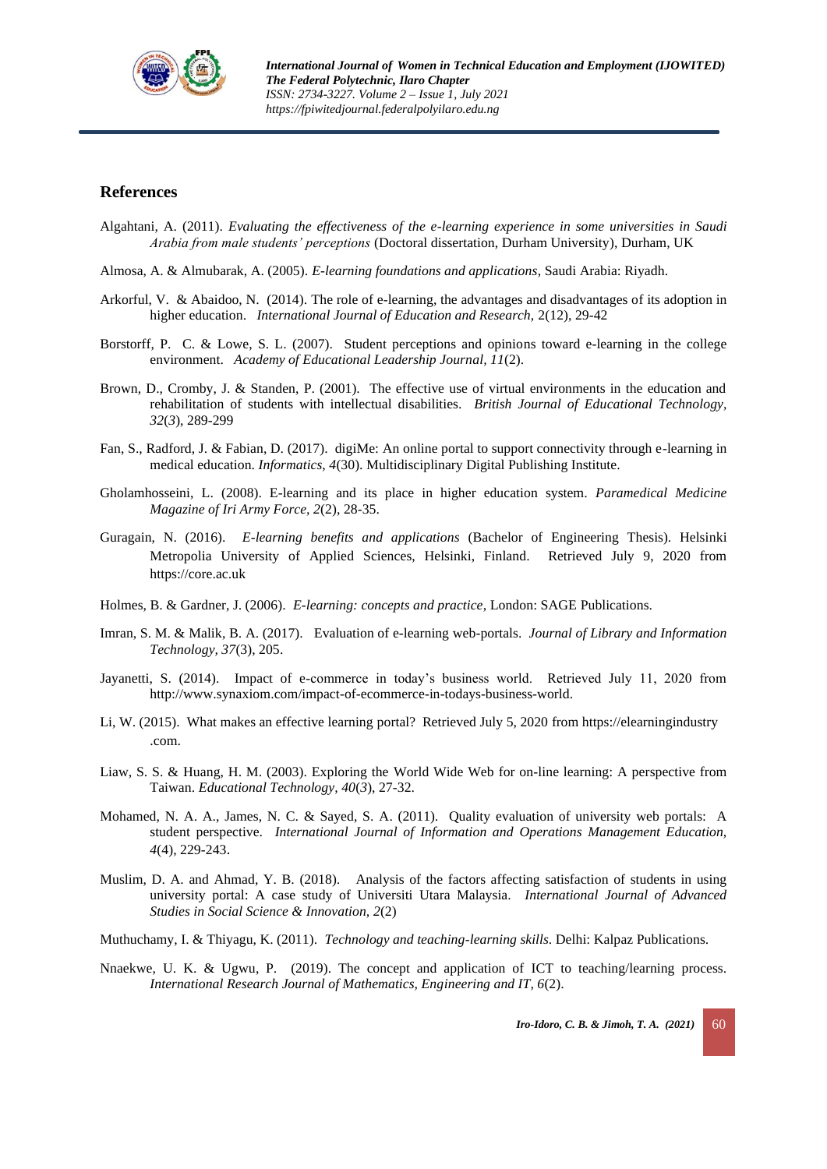

### **References**

- Algahtani, A. (2011). *Evaluating the effectiveness of the e-learning experience in some universities in Saudi Arabia from male students' perceptions* (Doctoral dissertation, Durham University), Durham, UK
- Almosa, A. & Almubarak, A. (2005). *E-learning foundations and applications*, Saudi Arabia: Riyadh.
- Arkorful, V. & Abaidoo, N. (2014). The role of e-learning, the advantages and disadvantages of its adoption in higher education. *International Journal of Education and Research,* 2(12), 29-42
- Borstorff, P. C. & Lowe, S. L. (2007). Student perceptions and opinions toward e-learning in the college environment. *Academy of Educational Leadership Journal, 11*(2).
- Brown, D., Cromby, J. & Standen, P. (2001). The effective use of virtual environments in the education and rehabilitation of students with intellectual disabilities. *British Journal of Educational Technology, 32*(*3*), 289-299
- Fan, S., Radford, J. & Fabian, D. (2017). digiMe: An online portal to support connectivity through e-learning in medical education. *Informatics, 4*(30). Multidisciplinary Digital Publishing Institute.
- Gholamhosseini, L. (2008). E-learning and its place in higher education system. *Paramedical Medicine Magazine of Iri Army Force, 2*(2), 28-35.
- Guragain, N. (2016). *E-learning benefits and applications* (Bachelor of Engineering Thesis). Helsinki Metropolia University of Applied Sciences, Helsinki, Finland. Retrieved July 9, 2020 from [https://core.ac.uk](https://core.ac.uk/download/pdf/38134334.pdf)
- Holmes, B. & Gardner, J. (2006). *E-learning: concepts and practice*, London: SAGE Publications.
- Imran, S. M. & Malik, B. A. (2017). Evaluation of e-learning web-portals. *Journal of Library and Information Technology, 37*(3), 205.
- Jayanetti, S. (2014). Impact of e-commerce in today's business world. Retrieved July 11, 2020 from [http://www.synaxiom.com/impact-of-ecommerce-in-todays-business-world.](http://www.synaxiom.com/impact-of-ecommerce-in-todays-business-world)
- Li, W. (2015). What makes an effective learning portal? Retrieved July 5, 2020 from https://elearningindustry .com.
- Liaw, S. S. & Huang, H. M. (2003). Exploring the World Wide Web for on-line learning: A perspective from Taiwan. *Educational Technology, 40*(*3*), 27-32.
- Mohamed, N. A. A., James, N. C. & Sayed, S. A. (2011). Quality evaluation of university web portals: A student perspective. *International Journal of Information and Operations Management Education, 4*(4), 229-243.
- Muslim, D. A. and Ahmad, Y. B. (2018). Analysis of the factors affecting satisfaction of students in using university portal: A case study of Universiti Utara Malaysia. *International Journal of Advanced Studies in Social Science & Innovation, 2*(2)
- Muthuchamy, I. & Thiyagu, K. (2011). *Technology and teaching-learning skills*. Delhi: Kalpaz Publications.
- Nnaekwe, U. K. & Ugwu, P. (2019). The concept and application of ICT to teaching/learning process. *International Research Journal of Mathematics, Engineering and IT, 6*(2).